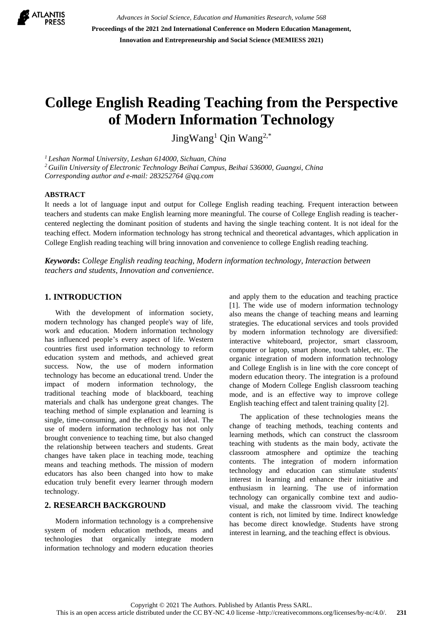

*Advances in Social Science, Education and Humanities Research, volume 568* **Proceedings of the 2021 2nd International Conference on Modern Education Management, Innovation and Entrepreneurship and Social Science (MEMIESS 2021)**

# **College English Reading Teaching from the Perspective of Modern Information Technology**

JingWang<sup>1</sup> Qin Wang<sup>2,\*</sup>

*<sup>1</sup> Leshan Normal University, Leshan 614000, Sichuan, China* 

*<sup>2</sup>Guilin University of Electronic Technology Beihai Campus, Beihai 536000, Guangxi, China Corresponding author and e-mail: 283252764 @qq.com*

#### **ABSTRACT**

It needs a lot of language input and output for College English reading teaching. Frequent interaction between teachers and students can make English learning more meaningful. The course of College English reading is teachercentered neglecting the dominant position of students and having the single teaching content. It is not ideal for the teaching effect. Modern information technology has strong technical and theoretical advantages, which application in College English reading teaching will bring innovation and convenience to college English reading teaching.

*Keywords***:** *College English reading teaching, Modern information technology, Interaction between teachers and students, Innovation and convenience.*

## **1. INTRODUCTION**

With the development of information society, modern technology has changed people's way of life, work and education. Modern information technology has influenced people's every aspect of life. Western countries first used information technology to reform education system and methods, and achieved great success. Now, the use of modern information technology has become an educational trend. Under the impact of modern information technology, the traditional teaching mode of blackboard, teaching materials and chalk has undergone great changes. The teaching method of simple explanation and learning is single, time-consuming, and the effect is not ideal. The use of modern information technology has not only brought convenience to teaching time, but also changed the relationship between teachers and students. Great changes have taken place in teaching mode, teaching means and teaching methods. The mission of modern educators has also been changed into how to make education truly benefit every learner through modern technology.

## **2. RESEARCH BACKGROUND**

Modern information technology is a comprehensive system of modern education methods, means and technologies that organically integrate modern information technology and modern education theories

and apply them to the education and teaching practice [1]. The wide use of modern information technology also means the change of teaching means and learning strategies. The educational services and tools provided by modern information technology are diversified: interactive whiteboard, projector, smart classroom, computer or laptop, smart phone, touch tablet, etc. The organic integration of modern information technology and College English is in line with the core concept of modern education theory. The integration is a profound change of Modern College English classroom teaching mode, and is an effective way to improve college English teaching effect and talent training quality [2].

The application of these technologies means the change of teaching methods, teaching contents and learning methods, which can construct the classroom teaching with students as the main body, activate the classroom atmosphere and optimize the teaching contents. The integration of modern information technology and education can stimulate students' interest in learning and enhance their initiative and enthusiasm in learning. The use of information technology can organically combine text and audiovisual, and make the classroom vivid. The teaching content is rich, not limited by time. Indirect knowledge has become direct knowledge. Students have strong interest in learning, and the teaching effect is obvious.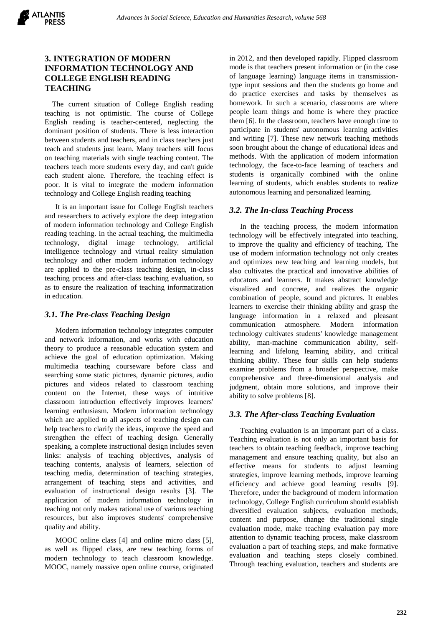# **3. INTEGRATION OF MODERN INFORMATION TECHNOLOGY AND COLLEGE ENGLISH READING TEACHING**

The current situation of College English reading teaching is not optimistic. The course of College English reading is teacher-centered, neglecting the dominant position of students. There is less interaction between students and teachers, and in class teachers just teach and students just learn. Many teachers still focus on teaching materials with single teaching content. The teachers teach more students every day, and can't guide each student alone. Therefore, the teaching effect is poor. It is vital to integrate the modern information technology and College English reading teaching

It is an important issue for College English teachers and researchers to actively explore the deep integration of modern information technology and College English reading teaching. In the actual teaching, the multimedia technology, digital image technology, artificial intelligence technology and virtual reality simulation technology and other modern information technology are applied to the pre-class teaching design, in-class teaching process and after-class teaching evaluation, so as to ensure the realization of teaching informatization in education.

# *3.1. The Pre-class Teaching Design*

Modern information technology integrates computer and network information, and works with education theory to produce a reasonable education system and achieve the goal of education optimization. Making multimedia teaching courseware before class and searching some static pictures, dynamic pictures, audio pictures and videos related to classroom teaching content on the Internet, these ways of intuitive classroom introduction effectively improves learners' learning enthusiasm. Modern information technology which are applied to all aspects of teaching design can help teachers to clarify the ideas, improve the speed and strengthen the effect of teaching design. Generally speaking, a complete instructional design includes seven links: analysis of teaching objectives, analysis of teaching contents, analysis of learners, selection of teaching media, determination of teaching strategies, arrangement of teaching steps and activities, and evaluation of instructional design results [3]. The application of modern information technology in teaching not only makes rational use of various teaching resources, but also improves students' comprehensive quality and ability.

MOOC online class [4] and online micro class [5], as well as flipped class, are new teaching forms of modern technology to teach classroom knowledge. MOOC, namely massive open online course, originated

in 2012, and then developed rapidly. Flipped classroom mode is that teachers present information or (in the case of language learning) language items in transmissiontype input sessions and then the students go home and do practice exercises and tasks by themselves as homework. In such a scenario, classrooms are where people learn things and home is where they practice them [6]. In the classroom, teachers have enough time to participate in students' autonomous learning activities and writing [7]. These new network teaching methods soon brought about the change of educational ideas and methods. With the application of modern information technology, the face-to-face learning of teachers and students is organically combined with the online learning of students, which enables students to realize autonomous learning and personalized learning.

# *3.2. The In-class Teaching Process*

In the teaching process, the modern information technology will be effectively integrated into teaching, to improve the quality and efficiency of teaching. The use of modern information technology not only creates and optimizes new teaching and learning models, but also cultivates the practical and innovative abilities of educators and learners. It makes abstract knowledge visualized and concrete, and realizes the organic combination of people, sound and pictures. It enables learners to exercise their thinking ability and grasp the language information in a relaxed and pleasant communication atmosphere. Modern information technology cultivates students' knowledge management ability, man-machine communication ability, selflearning and lifelong learning ability, and critical thinking ability. These four skills can help students examine problems from a broader perspective, make comprehensive and three-dimensional analysis and judgment, obtain more solutions, and improve their ability to solve problems [8].

# *3.3. The After-class Teaching Evaluation*

Teaching evaluation is an important part of a class. Teaching evaluation is not only an important basis for teachers to obtain teaching feedback, improve teaching management and ensure teaching quality, but also an effective means for students to adjust learning strategies, improve learning methods, improve learning efficiency and achieve good learning results [9]. Therefore, under the background of modern information technology, College English curriculum should establish diversified evaluation subjects, evaluation methods, content and purpose, change the traditional single evaluation mode, make teaching evaluation pay more attention to dynamic teaching process, make classroom evaluation a part of teaching steps, and make formative evaluation and teaching steps closely combined. Through teaching evaluation, teachers and students are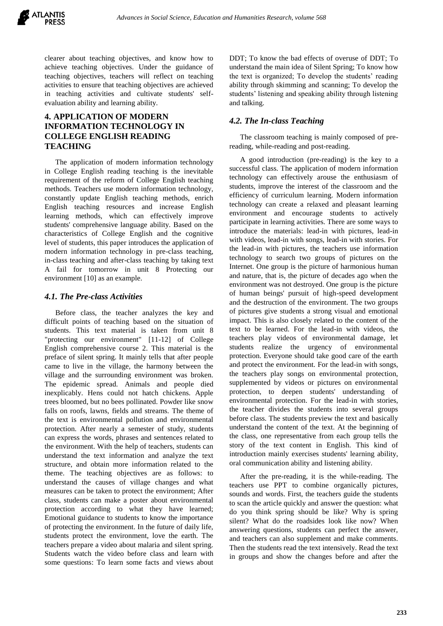

clearer about teaching objectives, and know how to achieve teaching objectives. Under the guidance of teaching objectives, teachers will reflect on teaching activities to ensure that teaching objectives are achieved in teaching activities and cultivate students' selfevaluation ability and learning ability.

# **4. APPLICATION OF MODERN INFORMATION TECHNOLOGY IN COLLEGE ENGLISH READING TEACHING**

The application of modern information technology in College English reading teaching is the inevitable requirement of the reform of College English teaching methods. Teachers use modern information technology, constantly update English teaching methods, enrich English teaching resources and increase English learning methods, which can effectively improve students' comprehensive language ability. Based on the characteristics of College English and the cognitive level of students, this paper introduces the application of modern information technology in pre-class teaching, in-class teaching and after-class teaching by taking text A fail for tomorrow in unit 8 Protecting our environment [10] as an example.

## *4.1. The Pre-class Activities*

Before class, the teacher analyzes the key and difficult points of teaching based on the situation of students. This text material is taken from unit 8 "protecting our environment" [11-12] of College English comprehensive course 2. This material is the preface of silent spring. It mainly tells that after people came to live in the village, the harmony between the village and the surrounding environment was broken. The epidemic spread. Animals and people died inexplicably. Hens could not hatch chickens. Apple trees bloomed, but no bees pollinated. Powder like snow falls on roofs, lawns, fields and streams. The theme of the text is environmental pollution and environmental protection. After nearly a semester of study, students can express the words, phrases and sentences related to the environment. With the help of teachers, students can understand the text information and analyze the text structure, and obtain more information related to the theme. The teaching objectives are as follows: to understand the causes of village changes and what measures can be taken to protect the environment; After class, students can make a poster about environmental protection according to what they have learned; Emotional guidance to students to know the importance of protecting the environment. In the future of daily life, students protect the environment, love the earth. The teachers prepare a video about malaria and silent spring. Students watch the video before class and learn with some questions: To learn some facts and views about

DDT; To know the bad effects of overuse of DDT; To understand the main idea of Silent Spring; To know how the text is organized; To develop the students' reading ability through skimming and scanning; To develop the students' listening and speaking ability through listening and talking.

## *4.2. The In-class Teaching*

The classroom teaching is mainly composed of prereading, while-reading and post-reading.

A good introduction (pre-reading) is the key to a successful class. The application of modern information technology can effectively arouse the enthusiasm of students, improve the interest of the classroom and the efficiency of curriculum learning. Modern information technology can create a relaxed and pleasant learning environment and encourage students to actively participate in learning activities. There are some ways to introduce the materials: lead-in with pictures, lead-in with videos, lead-in with songs, lead-in with stories. For the lead-in with pictures, the teachers use information technology to search two groups of pictures on the Internet. One group is the picture of harmonious human and nature, that is, the picture of decades ago when the environment was not destroyed. One group is the picture of human beings' pursuit of high-speed development and the destruction of the environment. The two groups of pictures give students a strong visual and emotional impact. This is also closely related to the content of the text to be learned. For the lead-in with videos, the teachers play videos of environmental damage, let students realize the urgency of environmental protection. Everyone should take good care of the earth and protect the environment. For the lead-in with songs, the teachers play songs on environmental protection, supplemented by videos or pictures on environmental protection, to deepen students' understanding of environmental protection. For the lead-in with stories, the teacher divides the students into several groups before class. The students preview the text and basically understand the content of the text. At the beginning of the class, one representative from each group tells the story of the text content in English. This kind of introduction mainly exercises students' learning ability, oral communication ability and listening ability.

After the pre-reading, it is the while-reading. The teachers use PPT to combine organically pictures, sounds and words. First, the teachers guide the students to scan the article quickly and answer the question: what do you think spring should be like? Why is spring silent? What do the roadsides look like now? When answering questions, students can perfect the answer, and teachers can also supplement and make comments. Then the students read the text intensively. Read the text in groups and show the changes before and after the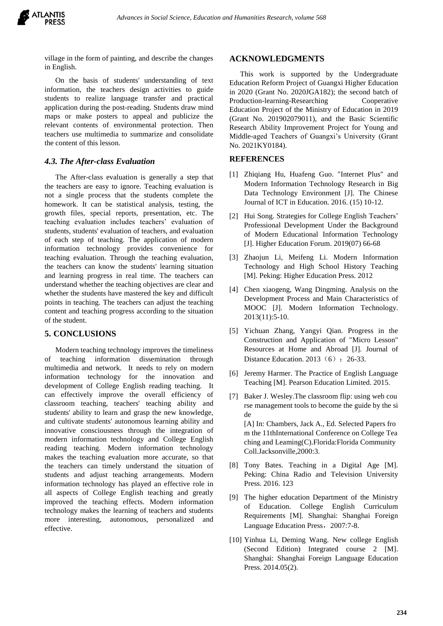village in the form of painting, and describe the changes in English.

On the basis of students' understanding of text information, the teachers design activities to guide students to realize language transfer and practical application during the post-reading. Students draw mind maps or make posters to appeal and publicize the relevant contents of environmental protection. Then teachers use multimedia to summarize and consolidate the content of this lesson.

## *4.3. The After-class Evaluation*

The After-class evaluation is generally a step that the teachers are easy to ignore. Teaching evaluation is not a single process that the students complete the homework. It can be statistical analysis, testing, the growth files, special reports, presentation, etc. The teaching evaluation includes teachers' evaluation of students, students' evaluation of teachers, and evaluation of each step of teaching. The application of modern information technology provides convenience for teaching evaluation. Through the teaching evaluation, the teachers can know the students' learning situation and learning progress in real time. The teachers can understand whether the teaching objectives are clear and whether the students have mastered the key and difficult points in teaching. The teachers can adjust the teaching content and teaching progress according to the situation of the student.

# **5. CONCLUSIONS**

Modern teaching technology improves the timeliness of teaching information dissemination through multimedia and network. It needs to rely on modern information technology for the innovation and development of College English reading teaching. It can effectively improve the overall efficiency of classroom teaching, teachers' teaching ability and students' ability to learn and grasp the new knowledge, and cultivate students' autonomous learning ability and innovative consciousness through the integration of modern information technology and College English reading teaching. Modern information technology makes the teaching evaluation more accurate, so that the teachers can timely understand the situation of students and adjust teaching arrangements. Modern information technology has played an effective role in all aspects of College English teaching and greatly improved the teaching effects. Modern information technology makes the learning of teachers and students more interesting, autonomous, personalized and effective.

#### **ACKNOWLEDGMENTS**

This work is supported by the Undergraduate Education Reform Project of Guangxi Higher Education in 2020 (Grant No. 2020JGA182); the second batch of Production-learning-Researching Cooperative Education Project of the Ministry of Education in 2019 (Grant No. 201902079011), and the Basic Scientific Research Ability Improvement Project for Young and Middle-aged Teachers of Guangxi's University (Grant No. 2021KY0184).

## **REFERENCES**

- [1] Zhiqiang Hu, Huafeng Guo. "Internet Plus" and Modern Information Technology Research in Big Data Technology Environment [J]. The Chinese Journal of ICT in Education. 2016. (15) 10-12.
- [2] Hui Song. Strategies for College English Teachers' Professional Development Under the Background of Modern Educational Information Technology [J]. Higher Education Forum. 2019(07) 66-68
- [3] Zhaojun Li, Meifeng Li. Modern Information Technology and High School History Teaching [M]. Peking: Higher Education Press. 2012
- [4] Chen xiaogeng, Wang Dingming. Analysis on the Development Process and Main Characteristics of MOOC [J]. Modern Information Technology. 2013(11):5-10.
- [5] Yichuan Zhang, Yangyi Qian. Progress in the Construction and Application of "Micro Lesson" Resources at Home and Abroad [J]. Journal of Distance Education. 2013 (6): 26-33.
- [6] Jeremy Harmer. The Practice of English Language Teaching [M]. Pearson Education Limited. 2015.
- [7] Baker J. Wesley.The classroom flip: using web cou rse management tools to become the guide by the si de

[A] In: Chambers, Jack A., Ed. Selected Papers fro m the 11thInternational Conference on College Tea ching and Leaming(C).Florida:Florida Community Coll.Jacksonville,2000:3.

- [8] Tony Bates. Teaching in a Digital Age [M]. Peking: China Radio and Television University Press. 2016. 123
- [9] The higher education Department of the Ministry of Education. College English Curriculum Requirements [M]. Shanghai: Shanghai Foreign Language Education Press, 2007:7-8.
- [10] Yinhua Li, Deming Wang. New college English (Second Edition) Integrated course 2 [M]. Shanghai: Shanghai Foreign Language Education Press. 2014.05(2).